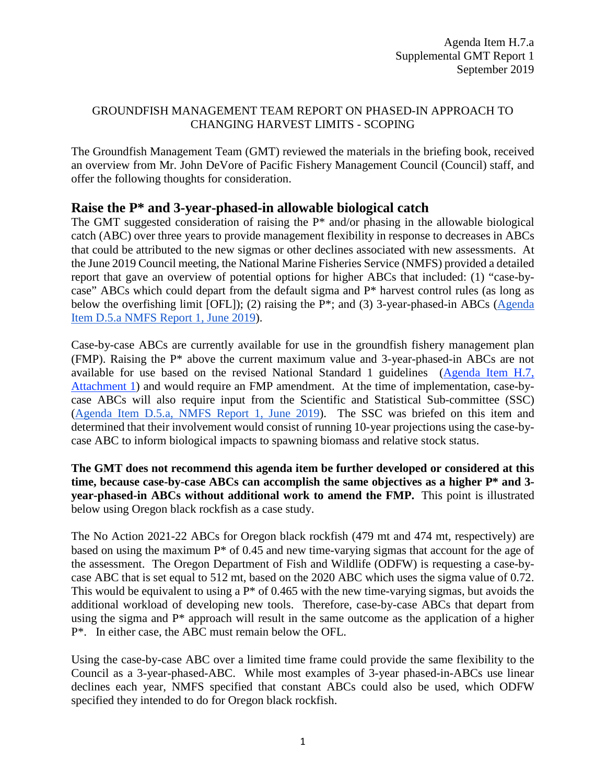## GROUNDFISH MANAGEMENT TEAM REPORT ON PHASED-IN APPROACH TO CHANGING HARVEST LIMITS - SCOPING

The Groundfish Management Team (GMT) reviewed the materials in the briefing book, received an overview from Mr. John DeVore of Pacific Fishery Management Council (Council) staff, and offer the following thoughts for consideration.

## **Raise the P\* and 3-year-phased-in allowable biological catch**

The GMT suggested consideration of raising the P\* and/or phasing in the allowable biological catch (ABC) over three years to provide management flexibility in response to decreases in ABCs that could be attributed to the new sigmas or other declines associated with new assessments. At the June 2019 Council meeting, the National Marine Fisheries Service (NMFS) provided a detailed report that gave an overview of potential options for higher ABCs that included: (1) "case-bycase" ABCs which could depart from the default sigma and P\* harvest control rules (as long as below the overfishing limit [OFL]); (2) raising the P<sup>\*</sup>; and (3) 3-year-phased-in ABCs (Agenda [Item D.5.a NMFS Report 1, June 2019\)](https://www.pcouncil.org/wp-content/uploads/2019/05/D5a_NMFS_RPT1_Phased-in-HCRs_JUNE2019BB.pdf).

Case-by-case ABCs are currently available for use in the groundfish fishery management plan (FMP). Raising the P\* above the current maximum value and 3-year-phased-in ABCs are not available for use based on the revised National Standard 1 guidelines [\(Agenda Item H.7,](https://www.pcouncil.org/wp-content/uploads/2019/08/H7_Att1_DRAFT-Carry-over-and-phase-in_SEPT2019BB.pdf)  [Attachment 1\)](https://www.pcouncil.org/wp-content/uploads/2019/08/H7_Att1_DRAFT-Carry-over-and-phase-in_SEPT2019BB.pdf) and would require an FMP amendment. At the time of implementation, case-bycase ABCs will also require input from the Scientific and Statistical Sub-committee (SSC) (Agenda Item D.5.a, [NMFS Report 1, June 2019\)](https://www.pcouncil.org/wp-content/uploads/2019/05/D5a_NMFS_RPT1_Phased-in-HCRs_JUNE2019BB.pdf). The SSC was briefed on this item and determined that their involvement would consist of running 10-year projections using the case-bycase ABC to inform biological impacts to spawning biomass and relative stock status.

**The GMT does not recommend this agenda item be further developed or considered at this time, because case-by-case ABCs can accomplish the same objectives as a higher P\* and 3 year-phased-in ABCs without additional work to amend the FMP.** This point is illustrated below using Oregon black rockfish as a case study.

The No Action 2021-22 ABCs for Oregon black rockfish (479 mt and 474 mt, respectively) are based on using the maximum P\* of 0.45 and new time-varying sigmas that account for the age of the assessment. The Oregon Department of Fish and Wildlife (ODFW) is requesting a case-bycase ABC that is set equal to 512 mt, based on the 2020 ABC which uses the sigma value of 0.72. This would be equivalent to using a  $P^*$  of 0.465 with the new time-varying sigmas, but avoids the additional workload of developing new tools. Therefore, case-by-case ABCs that depart from using the sigma and P\* approach will result in the same outcome as the application of a higher P\*. In either case, the ABC must remain below the OFL.

Using the case-by-case ABC over a limited time frame could provide the same flexibility to the Council as a 3-year-phased-ABC. While most examples of 3-year phased-in-ABCs use linear declines each year, NMFS specified that constant ABCs could also be used, which ODFW specified they intended to do for Oregon black rockfish.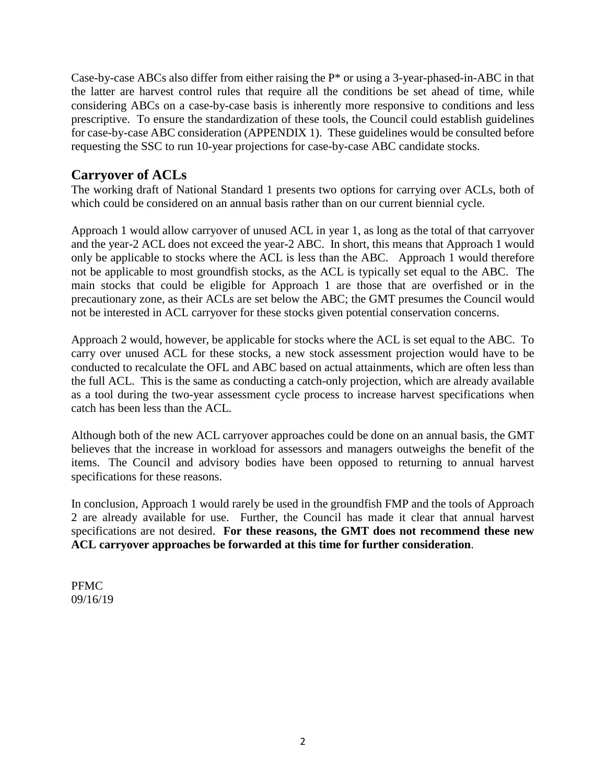Case-by-case ABCs also differ from either raising the P\* or using a 3-year-phased-in-ABC in that the latter are harvest control rules that require all the conditions be set ahead of time, while considering ABCs on a case-by-case basis is inherently more responsive to conditions and less prescriptive. To ensure the standardization of these tools, the Council could establish guidelines for case-by-case ABC consideration (APPENDIX 1). These guidelines would be consulted before requesting the SSC to run 10-year projections for case-by-case ABC candidate stocks.

## **Carryover of ACLs**

The working draft of National Standard 1 presents two options for carrying over ACLs, both of which could be considered on an annual basis rather than on our current biennial cycle.

Approach 1 would allow carryover of unused ACL in year 1, as long as the total of that carryover and the year-2 ACL does not exceed the year-2 ABC. In short, this means that Approach 1 would only be applicable to stocks where the ACL is less than the ABC. Approach 1 would therefore not be applicable to most groundfish stocks, as the ACL is typically set equal to the ABC. The main stocks that could be eligible for Approach 1 are those that are overfished or in the precautionary zone, as their ACLs are set below the ABC; the GMT presumes the Council would not be interested in ACL carryover for these stocks given potential conservation concerns.

Approach 2 would, however, be applicable for stocks where the ACL is set equal to the ABC. To carry over unused ACL for these stocks, a new stock assessment projection would have to be conducted to recalculate the OFL and ABC based on actual attainments, which are often less than the full ACL. This is the same as conducting a catch-only projection, which are already available as a tool during the two-year assessment cycle process to increase harvest specifications when catch has been less than the ACL.

Although both of the new ACL carryover approaches could be done on an annual basis, the GMT believes that the increase in workload for assessors and managers outweighs the benefit of the items. The Council and advisory bodies have been opposed to returning to annual harvest specifications for these reasons.

In conclusion, Approach 1 would rarely be used in the groundfish FMP and the tools of Approach 2 are already available for use. Further, the Council has made it clear that annual harvest specifications are not desired. **For these reasons, the GMT does not recommend these new ACL carryover approaches be forwarded at this time for further consideration**.

PFMC 09/16/19